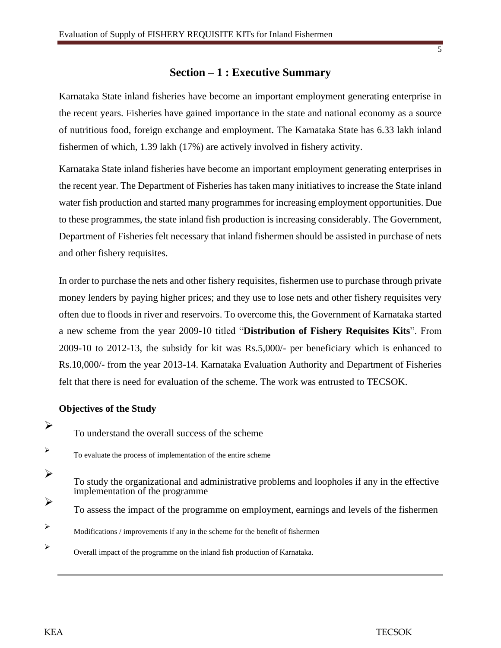# **Section – 1 : Executive Summary**

Karnataka State inland fisheries have become an important employment generating enterprise in the recent years. Fisheries have gained importance in the state and national economy as a source of nutritious food, foreign exchange and employment. The Karnataka State has 6.33 lakh inland fishermen of which, 1.39 lakh (17%) are actively involved in fishery activity.

Karnataka State inland fisheries have become an important employment generating enterprises in the recent year. The Department of Fisheries has taken many initiatives to increase the State inland water fish production and started many programmes for increasing employment opportunities. Due to these programmes, the state inland fish production is increasing considerably. The Government, Department of Fisheries felt necessary that inland fishermen should be assisted in purchase of nets and other fishery requisites.

In order to purchase the nets and other fishery requisites, fishermen use to purchase through private money lenders by paying higher prices; and they use to lose nets and other fishery requisites very often due to floods in river and reservoirs. To overcome this, the Government of Karnataka started a new scheme from the year 2009-10 titled "**Distribution of Fishery Requisites Kits**". From 2009-10 to 2012-13, the subsidy for kit was Rs.5,000/- per beneficiary which is enhanced to Rs.10,000/- from the year 2013-14. Karnataka Evaluation Authority and Department of Fisheries felt that there is need for evaluation of the scheme. The work was entrusted to TECSOK.

### **Objectives of the Study**

To understand the overall success of the scheme

➢

➢

- To evaluate the process of implementation of the entire scheme
- ➢ To study the organizational and administrative problems and loopholes if any in the effective implementation of the programme
- ➢ To assess the impact of the programme on employment, earnings and levels of the fishermen
- $\triangleright$  Modifications / improvements if any in the scheme for the benefit of fishermen
- ➢ Overall impact of the programme on the inland fish production of Karnataka.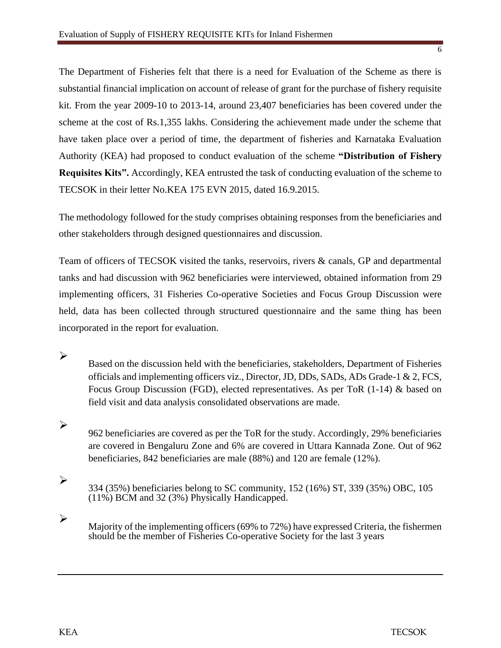The Department of Fisheries felt that there is a need for Evaluation of the Scheme as there is substantial financial implication on account of release of grant for the purchase of fishery requisite kit. From the year 2009-10 to 2013-14, around 23,407 beneficiaries has been covered under the scheme at the cost of Rs.1,355 lakhs. Considering the achievement made under the scheme that have taken place over a period of time, the department of fisheries and Karnataka Evaluation Authority (KEA) had proposed to conduct evaluation of the scheme **"Distribution of Fishery Requisites Kits".** Accordingly, KEA entrusted the task of conducting evaluation of the scheme to TECSOK in their letter No.KEA 175 EVN 2015, dated 16.9.2015.

The methodology followed for the study comprises obtaining responses from the beneficiaries and other stakeholders through designed questionnaires and discussion.

Team of officers of TECSOK visited the tanks, reservoirs, rivers & canals, GP and departmental tanks and had discussion with 962 beneficiaries were interviewed, obtained information from 29 implementing officers, 31 Fisheries Co-operative Societies and Focus Group Discussion were held, data has been collected through structured questionnaire and the same thing has been incorporated in the report for evaluation.

- Based on the discussion held with the beneficiaries, stakeholders, Department of Fisheries officials and implementing officers viz., Director, JD, DDs, SADs, ADs Grade-1 & 2, FCS, Focus Group Discussion (FGD), elected representatives. As per ToR (1-14) & based on field visit and data analysis consolidated observations are made.
- 962 beneficiaries are covered as per the ToR for the study. Accordingly, 29% beneficiaries are covered in Bengaluru Zone and 6% are covered in Uttara Kannada Zone. Out of 962 beneficiaries, 842 beneficiaries are male (88%) and 120 are female (12%).
- 334 (35%) beneficiaries belong to SC community, 152 (16%) ST, 339 (35%) OBC, 105 (11%) BCM and 32 (3%) Physically Handicapped.
- ➢ Majority of the implementing officers (69% to 72%) have expressed Criteria, the fishermen should be the member of Fisheries Co-operative Society for the last 3 years

➢

➢

➢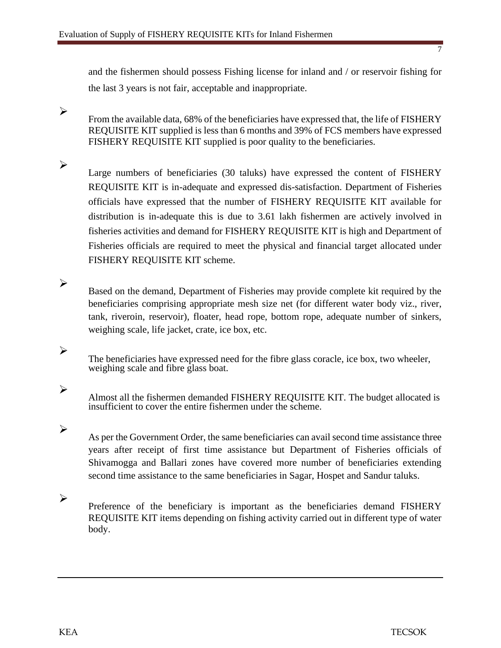and the fishermen should possess Fishing license for inland and / or reservoir fishing for the last 3 years is not fair, acceptable and inappropriate.

From the available data, 68% of the beneficiaries have expressed that, the life of FISHERY REQUISITE KIT supplied is less than 6 months and 39% of FCS members have expressed FISHERY REQUISITE KIT supplied is poor quality to the beneficiaries.

Large numbers of beneficiaries (30 taluks) have expressed the content of FISHERY REQUISITE KIT is in-adequate and expressed dis-satisfaction. Department of Fisheries officials have expressed that the number of FISHERY REQUISITE KIT available for distribution is in-adequate this is due to 3.61 lakh fishermen are actively involved in fisheries activities and demand for FISHERY REQUISITE KIT is high and Department of Fisheries officials are required to meet the physical and financial target allocated under FISHERY REQUISITE KIT scheme.

Based on the demand, Department of Fisheries may provide complete kit required by the beneficiaries comprising appropriate mesh size net (for different water body viz., river, tank, riveroin, reservoir), floater, head rope, bottom rope, adequate number of sinkers, weighing scale, life jacket, crate, ice box, etc.

The beneficiaries have expressed need for the fibre glass coracle, ice box, two wheeler, weighing scale and fibre glass boat.

Almost all the fishermen demanded FISHERY REQUISITE KIT. The budget allocated is insufficient to cover the entire fishermen under the scheme.

As per the Government Order, the same beneficiaries can avail second time assistance three years after receipt of first time assistance but Department of Fisheries officials of Shivamogga and Ballari zones have covered more number of beneficiaries extending second time assistance to the same beneficiaries in Sagar, Hospet and Sandur taluks.

➢ Preference of the beneficiary is important as the beneficiaries demand FISHERY REQUISITE KIT items depending on fishing activity carried out in different type of water body.

➢

➢

➢

➢

➢

➢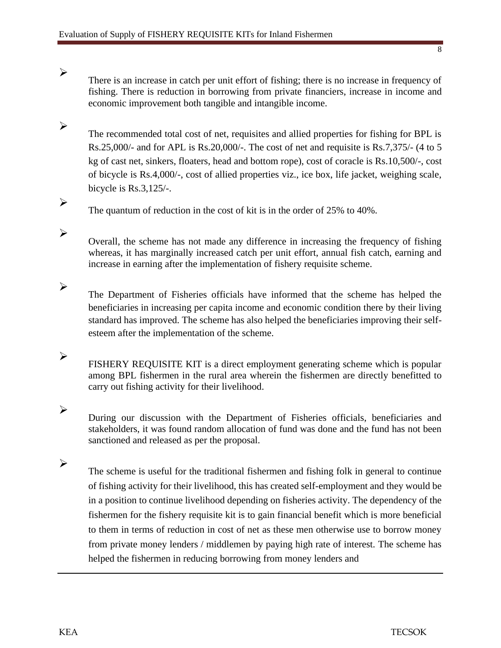There is an increase in catch per unit effort of fishing; there is no increase in frequency of fishing. There is reduction in borrowing from private financiers, increase in income and economic improvement both tangible and intangible income.

The recommended total cost of net, requisites and allied properties for fishing for BPL is Rs.25,000/- and for APL is Rs.20,000/-. The cost of net and requisite is Rs.7,375/- (4 to 5 kg of cast net, sinkers, floaters, head and bottom rope), cost of coracle is Rs.10,500/-, cost of bicycle is Rs.4,000/-, cost of allied properties viz., ice box, life jacket, weighing scale, bicycle is Rs.3,125/-.

The quantum of reduction in the cost of kit is in the order of 25% to 40%.

Overall, the scheme has not made any difference in increasing the frequency of fishing whereas, it has marginally increased catch per unit effort, annual fish catch, earning and increase in earning after the implementation of fishery requisite scheme.

- The Department of Fisheries officials have informed that the scheme has helped the beneficiaries in increasing per capita income and economic condition there by their living standard has improved. The scheme has also helped the beneficiaries improving their selfesteem after the implementation of the scheme.
- FISHERY REQUISITE KIT is a direct employment generating scheme which is popular among BPL fishermen in the rural area wherein the fishermen are directly benefitted to carry out fishing activity for their livelihood.
- ➢

➢

➢

➢

➢

➢

➢

During our discussion with the Department of Fisheries officials, beneficiaries and stakeholders, it was found random allocation of fund was done and the fund has not been sanctioned and released as per the proposal.

➢ The scheme is useful for the traditional fishermen and fishing folk in general to continue of fishing activity for their livelihood, this has created self-employment and they would be in a position to continue livelihood depending on fisheries activity. The dependency of the fishermen for the fishery requisite kit is to gain financial benefit which is more beneficial to them in terms of reduction in cost of net as these men otherwise use to borrow money from private money lenders / middlemen by paying high rate of interest. The scheme has helped the fishermen in reducing borrowing from money lenders and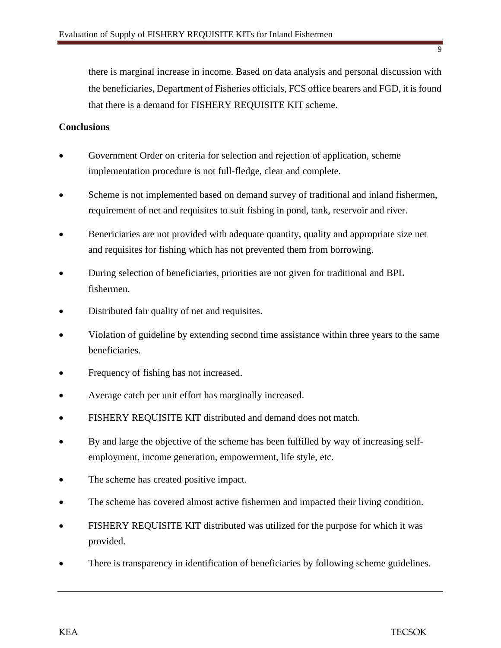there is marginal increase in income. Based on data analysis and personal discussion with the beneficiaries, Department of Fisheries officials, FCS office bearers and FGD, it is found that there is a demand for FISHERY REQUISITE KIT scheme.

### **Conclusions**

- Government Order on criteria for selection and rejection of application, scheme implementation procedure is not full-fledge, clear and complete.
- Scheme is not implemented based on demand survey of traditional and inland fishermen, requirement of net and requisites to suit fishing in pond, tank, reservoir and river.
- Benericiaries are not provided with adequate quantity, quality and appropriate size net and requisites for fishing which has not prevented them from borrowing.
- During selection of beneficiaries, priorities are not given for traditional and BPL fishermen.
- Distributed fair quality of net and requisites.
- Violation of guideline by extending second time assistance within three years to the same beneficiaries.
- Frequency of fishing has not increased.
- Average catch per unit effort has marginally increased.
- FISHERY REQUISITE KIT distributed and demand does not match.
- By and large the objective of the scheme has been fulfilled by way of increasing selfemployment, income generation, empowerment, life style, etc.
- The scheme has created positive impact.
- The scheme has covered almost active fishermen and impacted their living condition.
- FISHERY REQUISITE KIT distributed was utilized for the purpose for which it was provided.
- There is transparency in identification of beneficiaries by following scheme guidelines.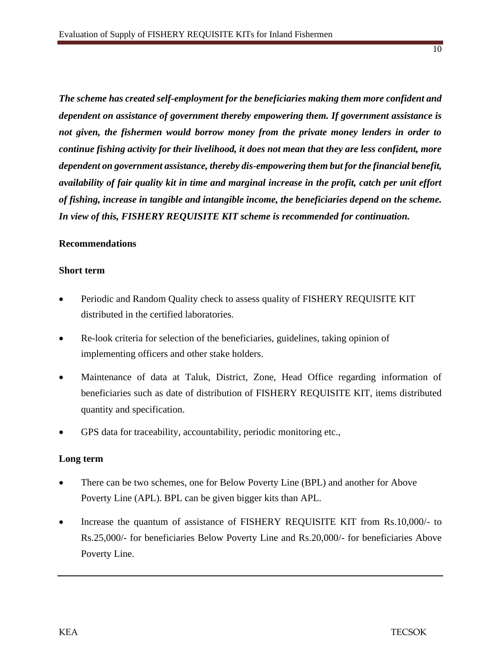*The scheme has created self-employment for the beneficiaries making them more confident and dependent on assistance of government thereby empowering them. If government assistance is not given, the fishermen would borrow money from the private money lenders in order to continue fishing activity for their livelihood, it does not mean that they are less confident, more dependent on government assistance, thereby dis-empowering them but for the financial benefit, availability of fair quality kit in time and marginal increase in the profit, catch per unit effort of fishing, increase in tangible and intangible income, the beneficiaries depend on the scheme. In view of this, FISHERY REQUISITE KIT scheme is recommended for continuation.*

### **Recommendations**

#### **Short term**

- Periodic and Random Quality check to assess quality of FISHERY REQUISITE KIT distributed in the certified laboratories.
- Re-look criteria for selection of the beneficiaries, guidelines, taking opinion of implementing officers and other stake holders.
- Maintenance of data at Taluk, District, Zone, Head Office regarding information of beneficiaries such as date of distribution of FISHERY REQUISITE KIT, items distributed quantity and specification.
- GPS data for traceability, accountability, periodic monitoring etc.,

### **Long term**

- There can be two schemes, one for Below Poverty Line (BPL) and another for Above Poverty Line (APL). BPL can be given bigger kits than APL.
- Increase the quantum of assistance of FISHERY REQUISITE KIT from Rs.10,000/- to Rs.25,000/- for beneficiaries Below Poverty Line and Rs.20,000/- for beneficiaries Above Poverty Line.